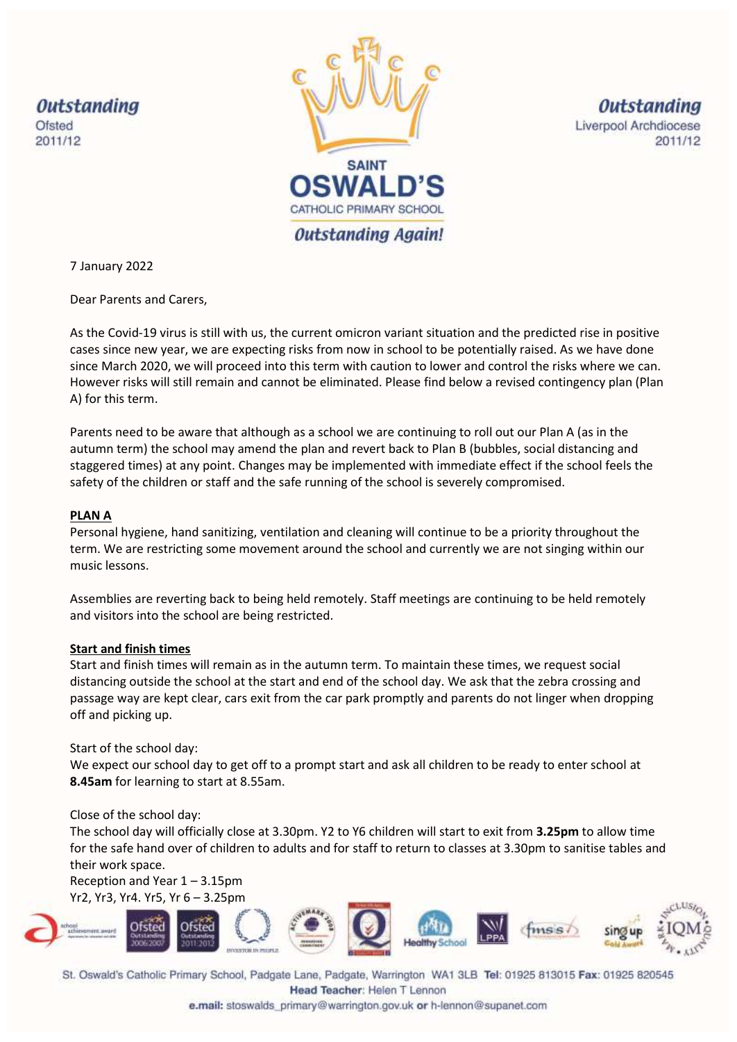

**Outstanding** Liverpool Archdiocese 2011/12

7 January 2022

Dear Parents and Carers,

As the Covid-19 virus is still with us, the current omicron variant situation and the predicted rise in positive cases since new year, we are expecting risks from now in school to be potentially raised. As we have done since March 2020, we will proceed into this term with caution to lower and control the risks where we can. However risks will still remain and cannot be eliminated. Please find below a revised contingency plan (Plan A) for this term.

Parents need to be aware that although as a school we are continuing to roll out our Plan A (as in the autumn term) the school may amend the plan and revert back to Plan B (bubbles, social distancing and staggered times) at any point. Changes may be implemented with immediate effect if the school feels the safety of the children or staff and the safe running of the school is severely compromised.

# **PLAN A**

Personal hygiene, hand sanitizing, ventilation and cleaning will continue to be a priority throughout the term. We are restricting some movement around the school and currently we are not singing within our music lessons.

Assemblies are reverting back to being held remotely. Staff meetings are continuing to be held remotely and visitors into the school are being restricted.

# **Start and finish times**

Start and finish times will remain as in the autumn term. To maintain these times, we request social distancing outside the school at the start and end of the school day. We ask that the zebra crossing and passage way are kept clear, cars exit from the car park promptly and parents do not linger when dropping off and picking up.

Start of the school day:

We expect our school day to get off to a prompt start and ask all children to be ready to enter school at **8.45am** for learning to start at 8.55am.

# Close of the school day:

The school day will officially close at 3.30pm. Y2 to Y6 children will start to exit from **3.25pm** to allow time for the safe hand over of children to adults and for staff to return to classes at 3.30pm to sanitise tables and their work space.

Reception and Year 1 – 3.15pm Yr2, Yr3, Yr4. Yr5, Yr 6 – 3.25pm



St. Oswald's Catholic Primary School, Padgate Lane, Padgate, Warrington WA1 3LB Tel: 01925 813015 Fax: 01925 820545 Head Teacher: Helen T Lennon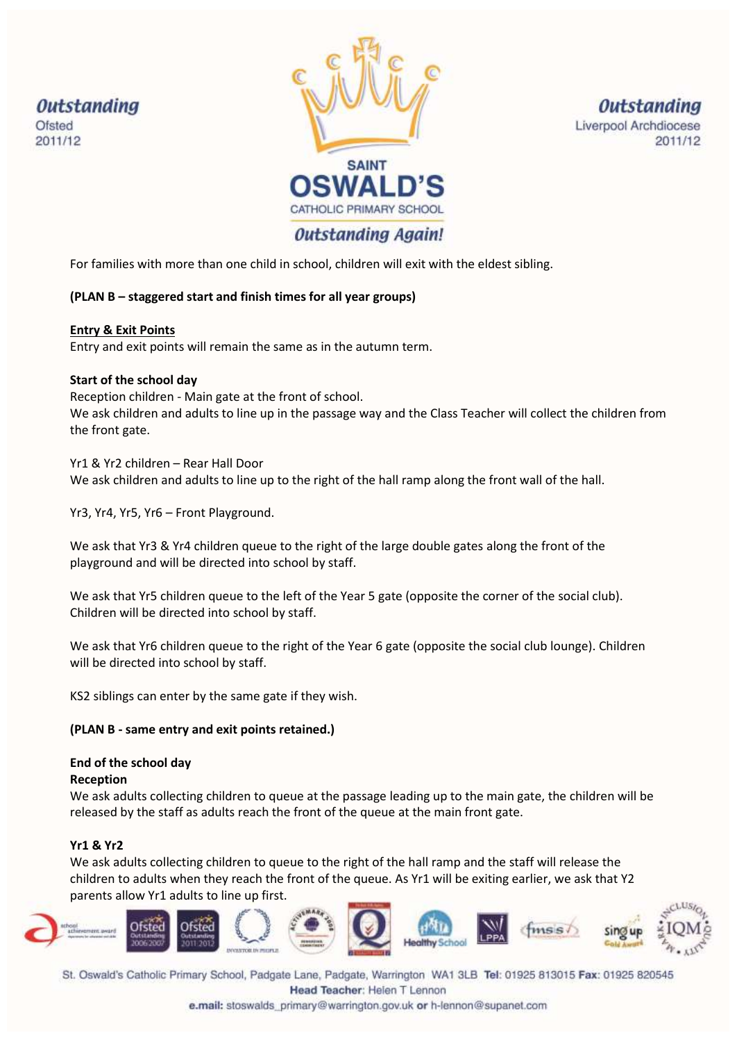

**Outstanding** Liverpool Archdiocese 2011/12

For families with more than one child in school, children will exit with the eldest sibling.

# **(PLAN B – staggered start and finish times for all year groups)**

## **Entry & Exit Points**

Entry and exit points will remain the same as in the autumn term.

# **Start of the school day**

Reception children - Main gate at the front of school. We ask children and adults to line up in the passage way and the Class Teacher will collect the children from the front gate.

Yr1 & Yr2 children – Rear Hall Door We ask children and adults to line up to the right of the hall ramp along the front wall of the hall.

Yr3, Yr4, Yr5, Yr6 – Front Playground.

We ask that Yr3 & Yr4 children queue to the right of the large double gates along the front of the playground and will be directed into school by staff.

We ask that Yr5 children queue to the left of the Year 5 gate (opposite the corner of the social club). Children will be directed into school by staff.

We ask that Yr6 children queue to the right of the Year 6 gate (opposite the social club lounge). Children will be directed into school by staff.

KS2 siblings can enter by the same gate if they wish.

# **(PLAN B - same entry and exit points retained.)**

# **End of the school day**

#### **Reception**

We ask adults collecting children to queue at the passage leading up to the main gate, the children will be released by the staff as adults reach the front of the queue at the main front gate.

# **Yr1 & Yr2**

We ask adults collecting children to queue to the right of the hall ramp and the staff will release the children to adults when they reach the front of the queue. As Yr1 will be exiting earlier, we ask that Y2 parents allow Yr1 adults to line up first.



St. Oswald's Catholic Primary School, Padgate Lane, Padgate, Warrington WA1 3LB Tel: 01925 813015 Fax: 01925 820545 Head Teacher: Helen T Lennon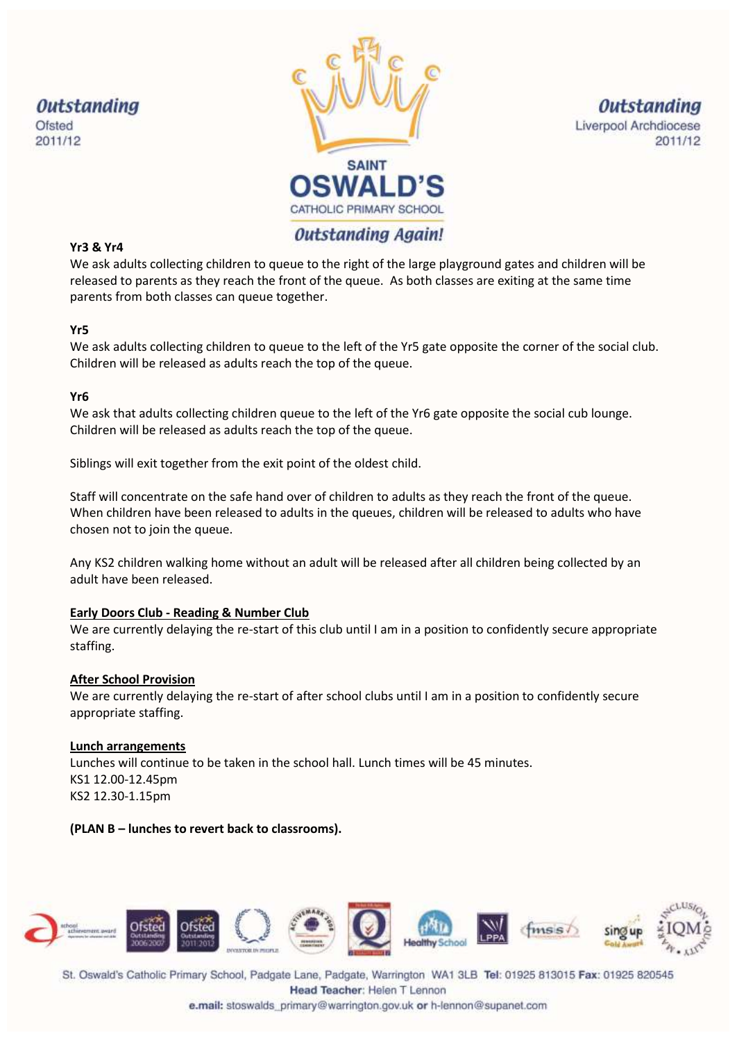



**Outstanding** Liverpool Archdiocese 2011/12

# **Outstanding Again!**

## **Yr3 & Yr4**

We ask adults collecting children to queue to the right of the large playground gates and children will be released to parents as they reach the front of the queue. As both classes are exiting at the same time parents from both classes can queue together.

## **Yr5**

We ask adults collecting children to queue to the left of the Yr5 gate opposite the corner of the social club. Children will be released as adults reach the top of the queue.

## **Yr6**

We ask that adults collecting children queue to the left of the Yr6 gate opposite the social cub lounge. Children will be released as adults reach the top of the queue.

Siblings will exit together from the exit point of the oldest child.

Staff will concentrate on the safe hand over of children to adults as they reach the front of the queue. When children have been released to adults in the queues, children will be released to adults who have chosen not to join the queue.

Any KS2 children walking home without an adult will be released after all children being collected by an adult have been released.

#### **Early Doors Club - Reading & Number Club**

We are currently delaying the re-start of this club until I am in a position to confidently secure appropriate staffing.

#### **After School Provision**

We are currently delaying the re-start of after school clubs until I am in a position to confidently secure appropriate staffing.

#### **Lunch arrangements**

Lunches will continue to be taken in the school hall. Lunch times will be 45 minutes. KS1 12.00-12.45pm KS2 12.30-1.15pm

# **(PLAN B – lunches to revert back to classrooms).**



St. Oswald's Catholic Primary School, Padgate Lane, Padgate, Warrington WA1 3LB Tel: 01925 813015 Fax: 01925 820545 Head Teacher: Helen T Lennon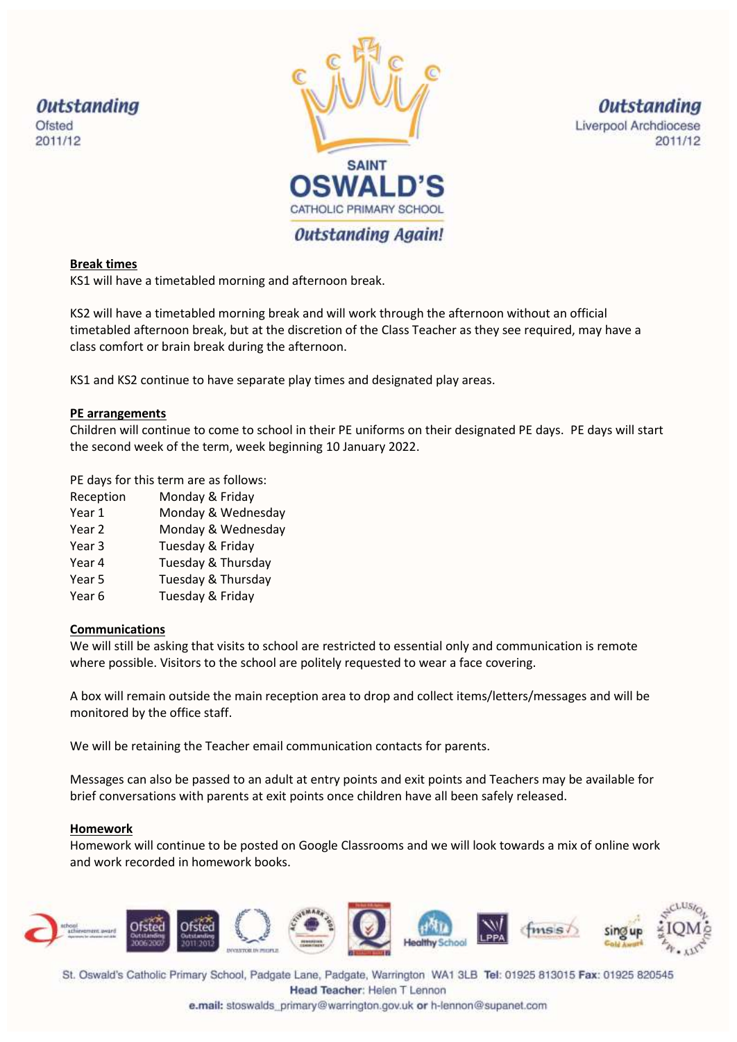

**Outstanding** Liverpool Archdiocese 2011/12

## **Break times**

KS1 will have a timetabled morning and afternoon break.

KS2 will have a timetabled morning break and will work through the afternoon without an official timetabled afternoon break, but at the discretion of the Class Teacher as they see required, may have a class comfort or brain break during the afternoon.

KS1 and KS2 continue to have separate play times and designated play areas.

## **PE arrangements**

Children will continue to come to school in their PE uniforms on their designated PE days. PE days will start the second week of the term, week beginning 10 January 2022.

PE days for this term are as follows:

- Reception Monday & Friday
- Year 1 Monday & Wednesday
- Year 2 Monday & Wednesday
- Year 3 Tuesday & Friday
- Year 4 Tuesday & Thursday
- Year 5 Tuesday & Thursday
- Year 6 Tuesday & Friday

#### **Communications**

We will still be asking that visits to school are restricted to essential only and communication is remote where possible. Visitors to the school are politely requested to wear a face covering.

A box will remain outside the main reception area to drop and collect items/letters/messages and will be monitored by the office staff.

We will be retaining the Teacher email communication contacts for parents.

Messages can also be passed to an adult at entry points and exit points and Teachers may be available for brief conversations with parents at exit points once children have all been safely released.

#### **Homework**

Homework will continue to be posted on Google Classrooms and we will look towards a mix of online work and work recorded in homework books.



St. Oswald's Catholic Primary School, Padgate Lane, Padgate, Warrington WA1 3LB Tel: 01925 813015 Fax: 01925 820545 Head Teacher: Helen T Lennon